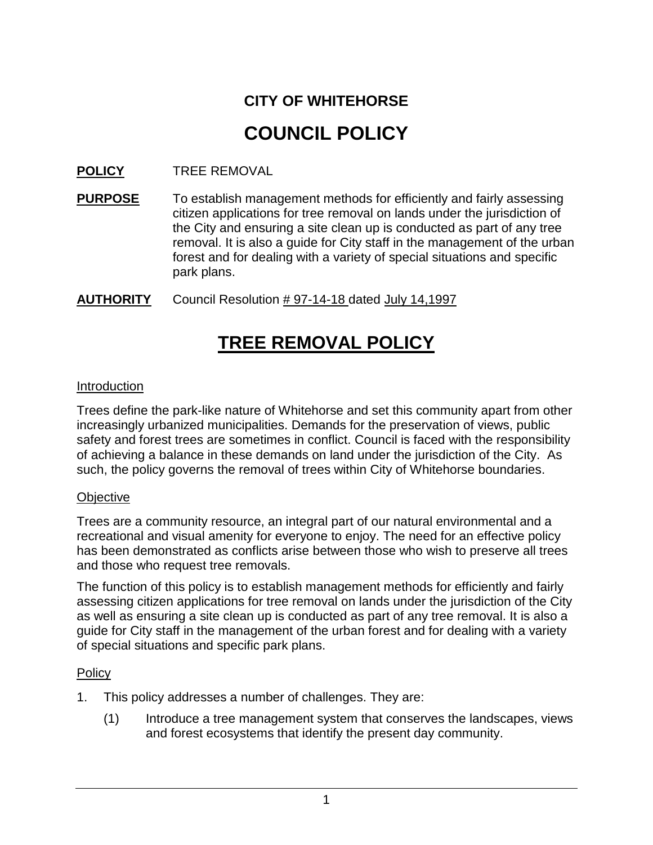# **CITY OF WHITEHORSE COUNCIL POLICY**

### **POLICY** TREE REMOVAL

**PURPOSE** To establish management methods for efficiently and fairly assessing citizen applications for tree removal on lands under the jurisdiction of the City and ensuring a site clean up is conducted as part of any tree removal. It is also a guide for City staff in the management of the urban forest and for dealing with a variety of special situations and specific park plans.

#### **AUTHORITY** Council Resolution # 97-14-18 dated July 14,1997

## **TREE REMOVAL POLICY**

#### Introduction

Trees define the park-like nature of Whitehorse and set this community apart from other increasingly urbanized municipalities. Demands for the preservation of views, public safety and forest trees are sometimes in conflict. Council is faced with the responsibility of achieving a balance in these demands on land under the jurisdiction of the City. As such, the policy governs the removal of trees within City of Whitehorse boundaries.

#### **Objective**

Trees are a community resource, an integral part of our natural environmental and a recreational and visual amenity for everyone to enjoy. The need for an effective policy has been demonstrated as conflicts arise between those who wish to preserve all trees and those who request tree removals.

The function of this policy is to establish management methods for efficiently and fairly assessing citizen applications for tree removal on lands under the jurisdiction of the City as well as ensuring a site clean up is conducted as part of any tree removal. It is also a guide for City staff in the management of the urban forest and for dealing with a variety of special situations and specific park plans.

#### Policy

- 1. This policy addresses a number of challenges. They are:
	- (1) Introduce a tree management system that conserves the landscapes, views and forest ecosystems that identify the present day community.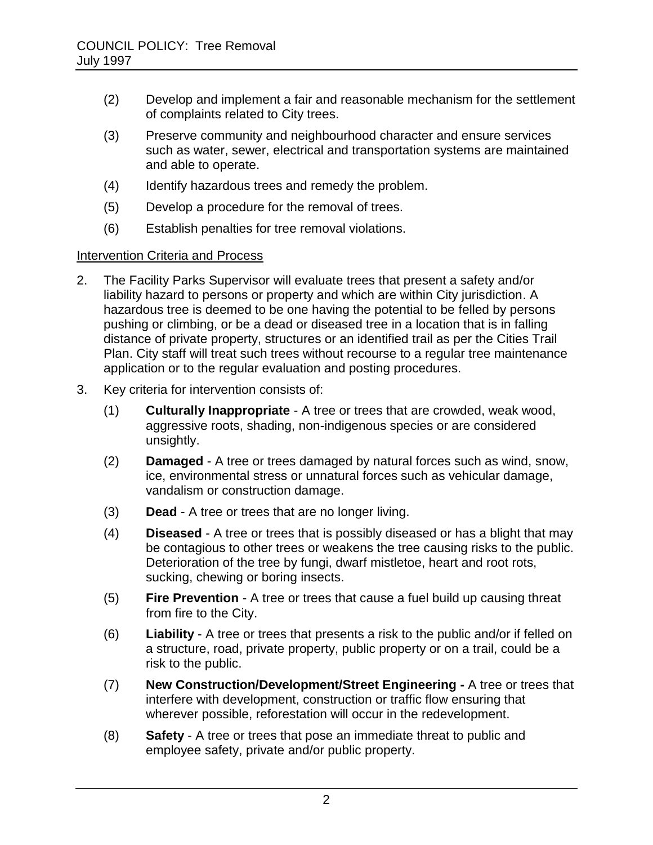- (2) Develop and implement a fair and reasonable mechanism for the settlement of complaints related to City trees.
- (3) Preserve community and neighbourhood character and ensure services such as water, sewer, electrical and transportation systems are maintained and able to operate.
- (4) Identify hazardous trees and remedy the problem.
- (5) Develop a procedure for the removal of trees.
- (6) Establish penalties for tree removal violations.

#### Intervention Criteria and Process

- 2. The Facility Parks Supervisor will evaluate trees that present a safety and/or liability hazard to persons or property and which are within City jurisdiction. A hazardous tree is deemed to be one having the potential to be felled by persons pushing or climbing, or be a dead or diseased tree in a location that is in falling distance of private property, structures or an identified trail as per the Cities Trail Plan. City staff will treat such trees without recourse to a regular tree maintenance application or to the regular evaluation and posting procedures.
- 3. Key criteria for intervention consists of:
	- (1) **Culturally Inappropriate**  A tree or trees that are crowded, weak wood, aggressive roots, shading, non-indigenous species or are considered unsightly.
	- (2) **Damaged**  A tree or trees damaged by natural forces such as wind, snow, ice, environmental stress or unnatural forces such as vehicular damage, vandalism or construction damage.
	- (3) **Dead**  A tree or trees that are no longer living.
	- (4) **Diseased**  A tree or trees that is possibly diseased or has a blight that may be contagious to other trees or weakens the tree causing risks to the public. Deterioration of the tree by fungi, dwarf mistletoe, heart and root rots, sucking, chewing or boring insects.
	- (5) **Fire Prevention**  A tree or trees that cause a fuel build up causing threat from fire to the City.
	- (6) **Liability**  A tree or trees that presents a risk to the public and/or if felled on a structure, road, private property, public property or on a trail, could be a risk to the public.
	- (7) **New Construction/Development/Street Engineering -** A tree or trees that interfere with development, construction or traffic flow ensuring that wherever possible, reforestation will occur in the redevelopment.
	- (8) **Safety**  A tree or trees that pose an immediate threat to public and employee safety, private and/or public property.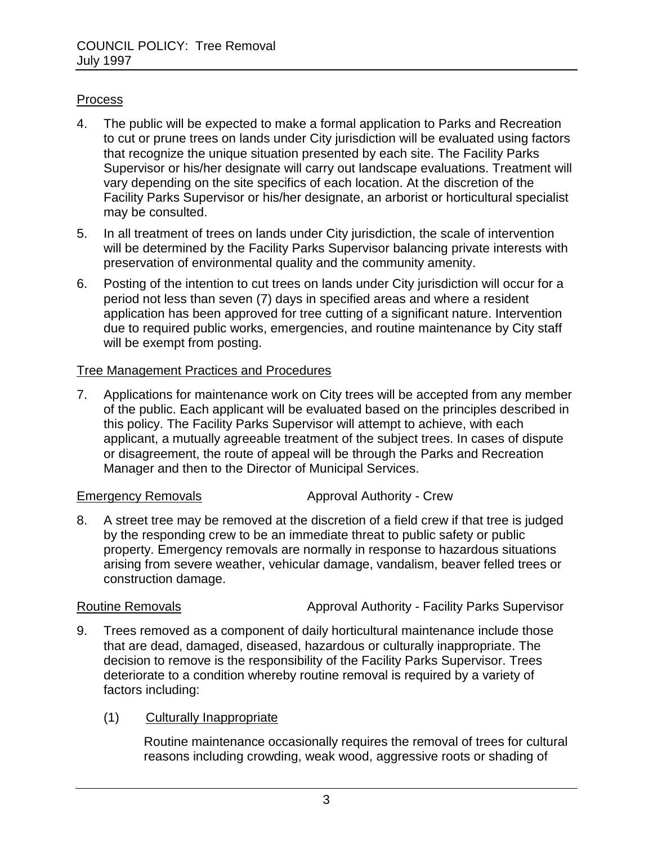#### **Process**

- 4. The public will be expected to make a formal application to Parks and Recreation to cut or prune trees on lands under City jurisdiction will be evaluated using factors that recognize the unique situation presented by each site. The Facility Parks Supervisor or his/her designate will carry out landscape evaluations. Treatment will vary depending on the site specifics of each location. At the discretion of the Facility Parks Supervisor or his/her designate, an arborist or horticultural specialist may be consulted.
- 5. In all treatment of trees on lands under City jurisdiction, the scale of intervention will be determined by the Facility Parks Supervisor balancing private interests with preservation of environmental quality and the community amenity.
- 6. Posting of the intention to cut trees on lands under City jurisdiction will occur for a period not less than seven (7) days in specified areas and where a resident application has been approved for tree cutting of a significant nature. Intervention due to required public works, emergencies, and routine maintenance by City staff will be exempt from posting.

#### Tree Management Practices and Procedures

7. Applications for maintenance work on City trees will be accepted from any member of the public. Each applicant will be evaluated based on the principles described in this policy. The Facility Parks Supervisor will attempt to achieve, with each applicant, a mutually agreeable treatment of the subject trees. In cases of dispute or disagreement, the route of appeal will be through the Parks and Recreation Manager and then to the Director of Municipal Services.

Emergency Removals **Approval Authority - Crew** 

8. A street tree may be removed at the discretion of a field crew if that tree is judged by the responding crew to be an immediate threat to public safety or public property. Emergency removals are normally in response to hazardous situations arising from severe weather, vehicular damage, vandalism, beaver felled trees or construction damage.

Routine Removals **Approval Authority - Facility Parks Supervisor** Approval Authority - Facility Parks Supervisor

9. Trees removed as a component of daily horticultural maintenance include those that are dead, damaged, diseased, hazardous or culturally inappropriate. The decision to remove is the responsibility of the Facility Parks Supervisor. Trees deteriorate to a condition whereby routine removal is required by a variety of factors including:

#### (1) Culturally Inappropriate

Routine maintenance occasionally requires the removal of trees for cultural reasons including crowding, weak wood, aggressive roots or shading of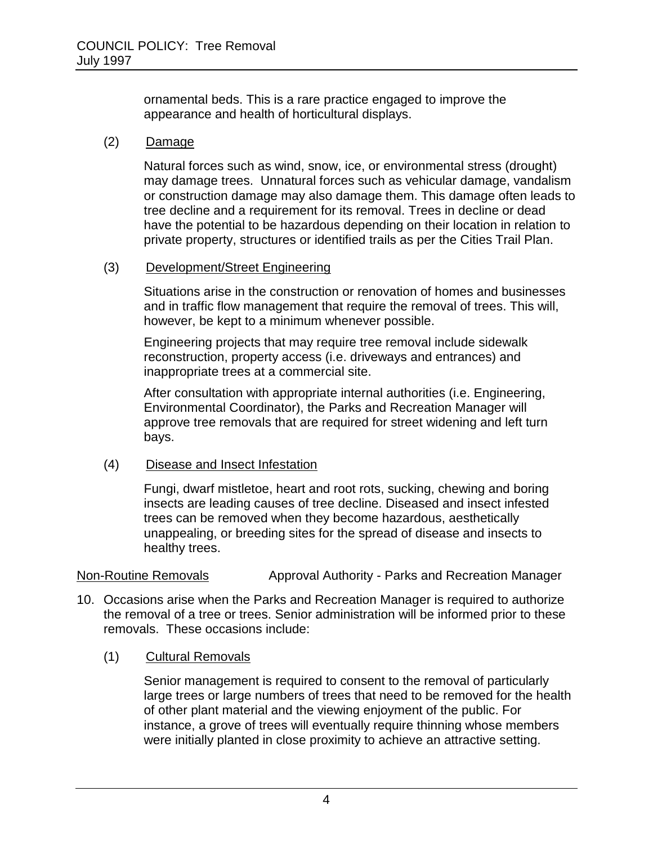ornamental beds. This is a rare practice engaged to improve the appearance and health of horticultural displays.

#### (2) Damage

Natural forces such as wind, snow, ice, or environmental stress (drought) may damage trees. Unnatural forces such as vehicular damage, vandalism or construction damage may also damage them. This damage often leads to tree decline and a requirement for its removal. Trees in decline or dead have the potential to be hazardous depending on their location in relation to private property, structures or identified trails as per the Cities Trail Plan.

#### (3) Development/Street Engineering

Situations arise in the construction or renovation of homes and businesses and in traffic flow management that require the removal of trees. This will, however, be kept to a minimum whenever possible.

Engineering projects that may require tree removal include sidewalk reconstruction, property access (i.e. driveways and entrances) and inappropriate trees at a commercial site.

After consultation with appropriate internal authorities (i.e. Engineering, Environmental Coordinator), the Parks and Recreation Manager will approve tree removals that are required for street widening and left turn bays.

#### (4) Disease and Insect Infestation

Fungi, dwarf mistletoe, heart and root rots, sucking, chewing and boring insects are leading causes of tree decline. Diseased and insect infested trees can be removed when they become hazardous, aesthetically unappealing, or breeding sites for the spread of disease and insects to healthy trees.

Non-Routine Removals **Approval Authority - Parks and Recreation Manager** 

- 10. Occasions arise when the Parks and Recreation Manager is required to authorize the removal of a tree or trees. Senior administration will be informed prior to these removals. These occasions include:
	- (1) Cultural Removals

Senior management is required to consent to the removal of particularly large trees or large numbers of trees that need to be removed for the health of other plant material and the viewing enjoyment of the public. For instance, a grove of trees will eventually require thinning whose members were initially planted in close proximity to achieve an attractive setting.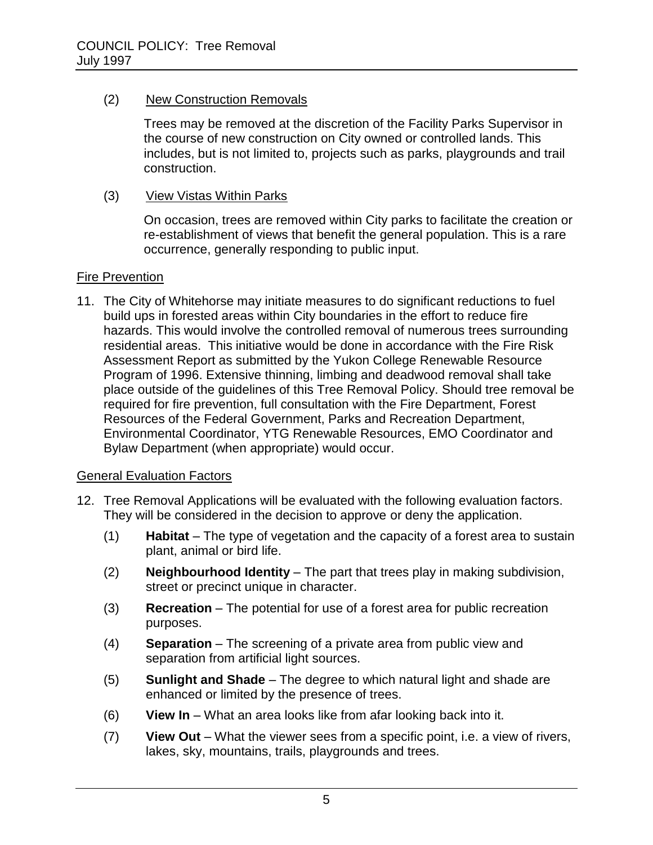#### (2) New Construction Removals

Trees may be removed at the discretion of the Facility Parks Supervisor in the course of new construction on City owned or controlled lands. This includes, but is not limited to, projects such as parks, playgrounds and trail construction.

(3) View Vistas Within Parks

On occasion, trees are removed within City parks to facilitate the creation or re-establishment of views that benefit the general population. This is a rare occurrence, generally responding to public input.

### Fire Prevention

11. The City of Whitehorse may initiate measures to do significant reductions to fuel build ups in forested areas within City boundaries in the effort to reduce fire hazards. This would involve the controlled removal of numerous trees surrounding residential areas. This initiative would be done in accordance with the Fire Risk Assessment Report as submitted by the Yukon College Renewable Resource Program of 1996. Extensive thinning, limbing and deadwood removal shall take place outside of the guidelines of this Tree Removal Policy. Should tree removal be required for fire prevention, full consultation with the Fire Department, Forest Resources of the Federal Government, Parks and Recreation Department, Environmental Coordinator, YTG Renewable Resources, EMO Coordinator and Bylaw Department (when appropriate) would occur.

#### General Evaluation Factors

- 12. Tree Removal Applications will be evaluated with the following evaluation factors. They will be considered in the decision to approve or deny the application.
	- (1) **Habitat** The type of vegetation and the capacity of a forest area to sustain plant, animal or bird life.
	- (2) **Neighbourhood Identity** The part that trees play in making subdivision, street or precinct unique in character.
	- (3) **Recreation** The potential for use of a forest area for public recreation purposes.
	- (4) **Separation** The screening of a private area from public view and separation from artificial light sources.
	- (5) **Sunlight and Shade** The degree to which natural light and shade are enhanced or limited by the presence of trees.
	- (6) **View In** What an area looks like from afar looking back into it.
	- (7) **View Out** What the viewer sees from a specific point, i.e. a view of rivers, lakes, sky, mountains, trails, playgrounds and trees.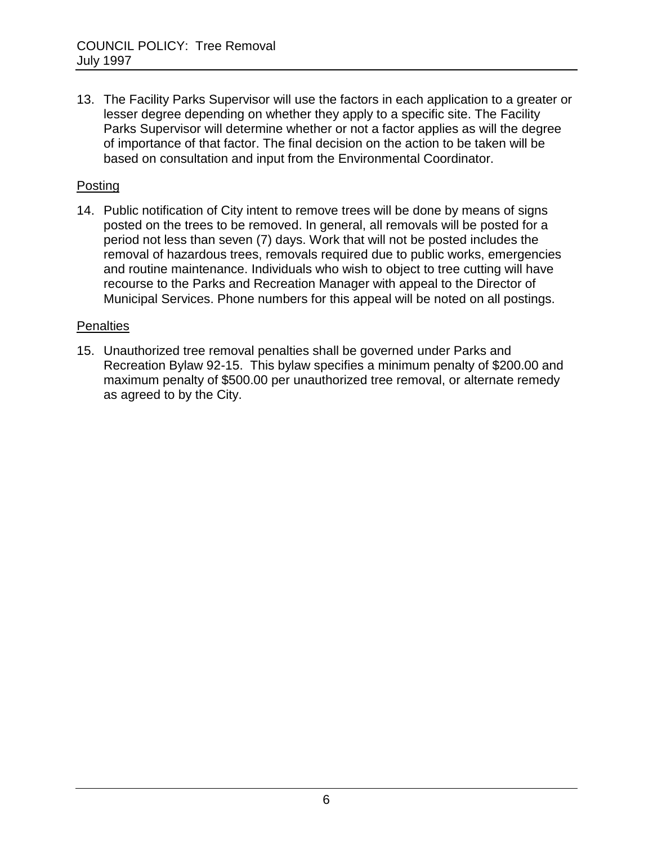13. The Facility Parks Supervisor will use the factors in each application to a greater or lesser degree depending on whether they apply to a specific site. The Facility Parks Supervisor will determine whether or not a factor applies as will the degree of importance of that factor. The final decision on the action to be taken will be based on consultation and input from the Environmental Coordinator.

#### **Posting**

14. Public notification of City intent to remove trees will be done by means of signs posted on the trees to be removed. In general, all removals will be posted for a period not less than seven (7) days. Work that will not be posted includes the removal of hazardous trees, removals required due to public works, emergencies and routine maintenance. Individuals who wish to object to tree cutting will have recourse to the Parks and Recreation Manager with appeal to the Director of Municipal Services. Phone numbers for this appeal will be noted on all postings.

#### **Penalties**

15. Unauthorized tree removal penalties shall be governed under Parks and Recreation Bylaw 92-15. This bylaw specifies a minimum penalty of \$200.00 and maximum penalty of \$500.00 per unauthorized tree removal, or alternate remedy as agreed to by the City.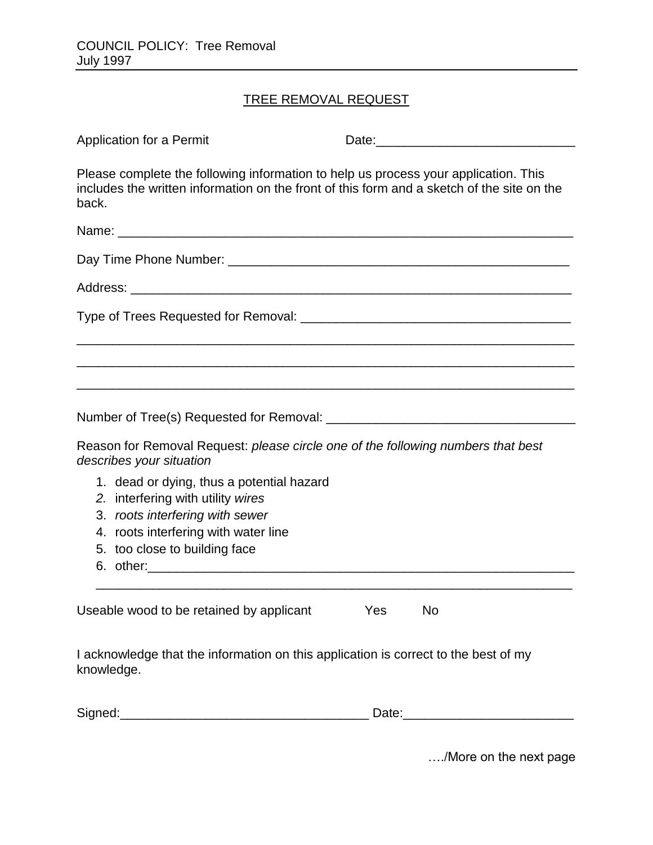### TREE REMOVAL REQUEST

| Application for a Permit                                                                                                                                                                   |           |  |
|--------------------------------------------------------------------------------------------------------------------------------------------------------------------------------------------|-----------|--|
| Please complete the following information to help us process your application. This<br>includes the written information on the front of this form and a sketch of the site on the<br>back. |           |  |
|                                                                                                                                                                                            |           |  |
|                                                                                                                                                                                            |           |  |
|                                                                                                                                                                                            |           |  |
|                                                                                                                                                                                            |           |  |
|                                                                                                                                                                                            |           |  |
| Reason for Removal Request: please circle one of the following numbers that best<br>describes your situation                                                                               |           |  |
| 1. dead or dying, thus a potential hazard<br>2. interfering with utility wires<br>3. roots interfering with sewer<br>4. roots interfering with water line<br>5. too close to building face |           |  |
| Useable wood to be retained by applicant                                                                                                                                                   | Yes<br>No |  |
| I acknowledge that the information on this application is correct to the best of my<br>knowledge.                                                                                          |           |  |
|                                                                                                                                                                                            |           |  |

…./More on the next page